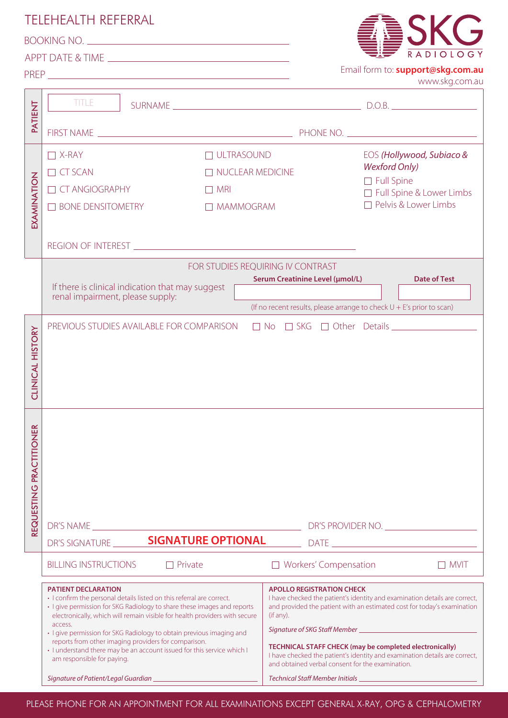|                                                     | <b>TELEHEALTH REFERRAL</b>                                                                                                   |                                                                                                                                                                                                                                                                    |                                                                            |  |
|-----------------------------------------------------|------------------------------------------------------------------------------------------------------------------------------|--------------------------------------------------------------------------------------------------------------------------------------------------------------------------------------------------------------------------------------------------------------------|----------------------------------------------------------------------------|--|
| BOOKING NO.                                         |                                                                                                                              |                                                                                                                                                                                                                                                                    |                                                                            |  |
|                                                     |                                                                                                                              |                                                                                                                                                                                                                                                                    | <b>DIOLOGY</b>                                                             |  |
| Email form to: support@skg.com.au<br>www.skg.com.au |                                                                                                                              |                                                                                                                                                                                                                                                                    |                                                                            |  |
|                                                     |                                                                                                                              |                                                                                                                                                                                                                                                                    |                                                                            |  |
| PATIENT                                             | <b>TITLE</b>                                                                                                                 |                                                                                                                                                                                                                                                                    |                                                                            |  |
|                                                     |                                                                                                                              |                                                                                                                                                                                                                                                                    |                                                                            |  |
|                                                     |                                                                                                                              |                                                                                                                                                                                                                                                                    |                                                                            |  |
| EXAMINATION                                         | $\Box$ X-RAY<br>$\Box$ ULTRASOUND                                                                                            |                                                                                                                                                                                                                                                                    | EOS (Hollywood, Subiaco &<br><b>Wexford Only)</b>                          |  |
|                                                     | $\Box$ CT SCAN<br>$\Box$ NUCLEAR MEDICINE                                                                                    |                                                                                                                                                                                                                                                                    | $\Box$ Full Spine                                                          |  |
|                                                     | <b>TT CT ANGIOGRAPHY</b><br>$\Box$ MRI                                                                                       |                                                                                                                                                                                                                                                                    | □ Full Spine & Lower Limbs                                                 |  |
|                                                     | $\Box$ BONE DENSITOMETRY<br>MAMMOGRAM                                                                                        |                                                                                                                                                                                                                                                                    | $\Box$ Pelvis & Lower Limbs                                                |  |
|                                                     |                                                                                                                              |                                                                                                                                                                                                                                                                    |                                                                            |  |
|                                                     |                                                                                                                              |                                                                                                                                                                                                                                                                    |                                                                            |  |
|                                                     | FOR STUDIES REOUIRING IV CONTRAST                                                                                            |                                                                                                                                                                                                                                                                    |                                                                            |  |
|                                                     | Serum Creatinine Level (µmol/L) Date of Test<br>If there is clinical indication that may suggest                             |                                                                                                                                                                                                                                                                    |                                                                            |  |
|                                                     | renal impairment, please supply:<br>(If no recent results, please arrange to check $U + E's$ prior to scan)                  |                                                                                                                                                                                                                                                                    |                                                                            |  |
|                                                     |                                                                                                                              |                                                                                                                                                                                                                                                                    |                                                                            |  |
|                                                     | □ No □ SKG □ Other Details <u>______________</u><br>PREVIOUS STUDIES AVAILABLE FOR COMPARISON                                |                                                                                                                                                                                                                                                                    |                                                                            |  |
| <b>CLINICAL HISTORY</b>                             |                                                                                                                              |                                                                                                                                                                                                                                                                    |                                                                            |  |
|                                                     |                                                                                                                              |                                                                                                                                                                                                                                                                    |                                                                            |  |
|                                                     |                                                                                                                              |                                                                                                                                                                                                                                                                    |                                                                            |  |
|                                                     |                                                                                                                              |                                                                                                                                                                                                                                                                    |                                                                            |  |
|                                                     |                                                                                                                              |                                                                                                                                                                                                                                                                    |                                                                            |  |
|                                                     | REQUESTING PRACTITIONER                                                                                                      |                                                                                                                                                                                                                                                                    |                                                                            |  |
|                                                     |                                                                                                                              |                                                                                                                                                                                                                                                                    |                                                                            |  |
|                                                     |                                                                                                                              |                                                                                                                                                                                                                                                                    |                                                                            |  |
|                                                     |                                                                                                                              |                                                                                                                                                                                                                                                                    |                                                                            |  |
|                                                     |                                                                                                                              |                                                                                                                                                                                                                                                                    |                                                                            |  |
|                                                     |                                                                                                                              |                                                                                                                                                                                                                                                                    |                                                                            |  |
|                                                     | DR'S PROVIDER NO.                                                                                                            |                                                                                                                                                                                                                                                                    |                                                                            |  |
|                                                     | DR'S SIGNATURE <b>SIGNATURE OPTIONAL</b>                                                                                     |                                                                                                                                                                                                                                                                    |                                                                            |  |
|                                                     | <b>BILLING INSTRUCTIONS</b><br>$\Box$ Private                                                                                | □ Workers' Compensation                                                                                                                                                                                                                                            | $\Box$ MVIT                                                                |  |
|                                                     | <b>PATIENT DECLARATION</b>                                                                                                   | <b>APOLLO REGISTRATION CHECK</b><br>· I confirm the personal details listed on this referral are correct.<br>I have checked the patient's identity and examination details are correct,<br>and provided the patient with an estimated cost for today's examination |                                                                            |  |
|                                                     | · I give permission for SKG Radiology to share these images and reports                                                      |                                                                                                                                                                                                                                                                    |                                                                            |  |
|                                                     | electronically, which will remain visible for health providers with secure<br>access.                                        | (if any).                                                                                                                                                                                                                                                          |                                                                            |  |
|                                                     | · I give permission for SKG Radiology to obtain previous imaging and<br>reports from other imaging providers for comparison. | Signature of SKG Staff Member _                                                                                                                                                                                                                                    |                                                                            |  |
|                                                     | · I understand there may be an account issued for this service which I<br>am responsible for paying.                         | TECHNICAL STAFF CHECK (may be completed electronically)<br>and obtained verbal consent for the examination.                                                                                                                                                        | I have checked the patient's identity and examination details are correct, |  |
|                                                     | Signature of Patient/Legal Guardian                                                                                          | Technical Staff Member Initials _                                                                                                                                                                                                                                  |                                                                            |  |